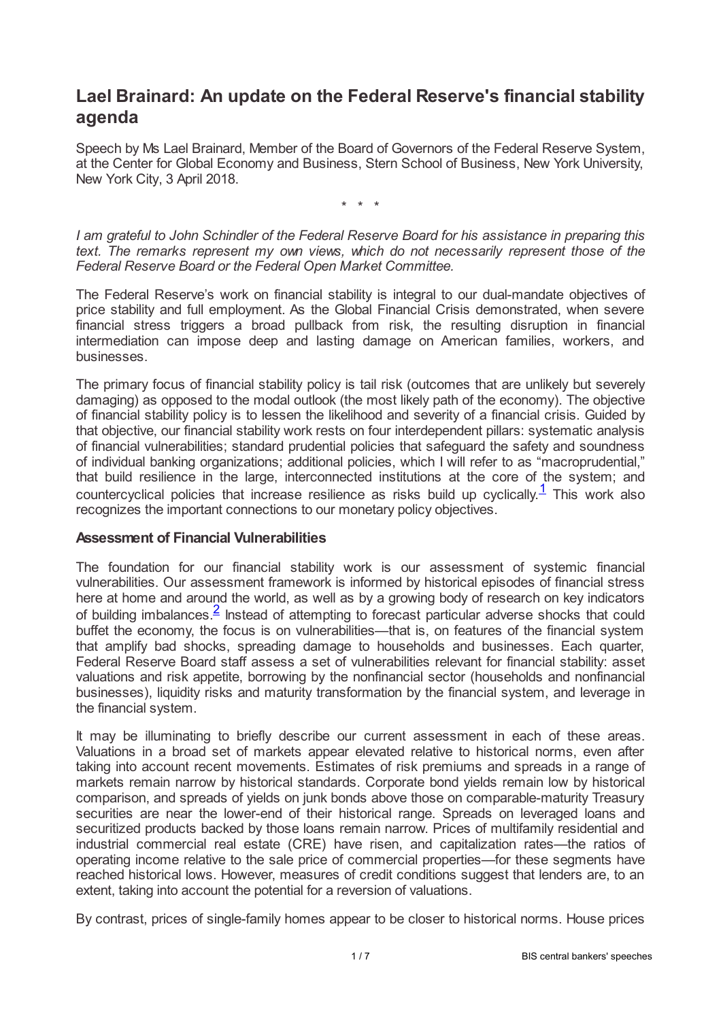# **Lael Brainard: An update on the Federal Reserve's financial stability agenda**

Speech by Ms Lael Brainard, Member of the Board of Governors of the Federal Reserve System, at the Center for Global Economy and Business, Stern School of Business, New York University, New York City, 3 April 2018.

<span id="page-0-0"></span>\* \* \*

*I am grateful to John Schindler of the Federal Reserve Board for his assistance in preparing this text. The remarks represent my own views, which do not necessarily represent those of the Federal Reserve Board or the Federal Open Market Committee.*

The Federal Reserve's work on financial stability is integral to our dual-mandate objectives of price stability and full employment. As the Global Financial Crisis demonstrated, when severe financial stress triggers a broad pullback from risk, the resulting disruption in financial intermediation can impose deep and lasting damage on American families, workers, and businesses.

The primary focus of financial stability policy is tail risk (outcomes that are unlikely but severely damaging) as opposed to the modal outlook (the most likely path of the economy). The objective of financial stability policy is to lessen the likelihood and severity of a financial crisis. Guided by that objective, our financial stability work rests on four interdependent pillars: systematic analysis of financial vulnerabilities; standard prudential policies that safeguard the safety and soundness of individual banking organizations; additional policies, which I will refer to as "macroprudential," that build resilience in the large, interconnected institutions at the core of the system; and countercyclical policies that increase resilience as risks build up cyclically.<sup>[1](#page-5-0)</sup> This work also recognizes the important connections to our monetary policy objectives.

#### **Assessment of Financial Vulnerabilities**

<span id="page-0-1"></span>The foundation for our financial stability work is our assessment of systemic financial vulnerabilities. Our assessment framework is informed by historical episodes of financial stress here at home and around the world, as well as by a growing body of research on key indicators of building imbalances.  $\frac{2}{5}$  $\frac{2}{5}$  $\frac{2}{5}$  Instead of attempting to forecast particular adverse shocks that could buffet the economy, the focus is on vulnerabilities—that is, on features of the financial system that amplify bad shocks, spreading damage to households and businesses. Each quarter, Federal Reserve Board staff assess a set of vulnerabilities relevant for financial stability: asset valuations and risk appetite, borrowing by the nonfinancial sector (households and nonfinancial businesses), liquidity risks and maturity transformation by the financial system, and leverage in the financial system.

It may be illuminating to briefly describe our current assessment in each of these areas. Valuations in a broad set of markets appear elevated relative to historical norms, even after taking into account recent movements. Estimates of risk premiums and spreads in a range of markets remain narrow by historical standards. Corporate bond yields remain low by historical comparison, and spreads of yields on junk bonds above those on comparable-maturity Treasury securities are near the lower-end of their historical range. Spreads on leveraged loans and securitized products backed by those loans remain narrow. Prices of multifamily residential and industrial commercial real estate (CRE) have risen, and capitalization rates—the ratios of operating income relative to the sale price of commercial properties—for these segments have reached historical lows. However, measures of credit conditions suggest that lenders are, to an extent, taking into account the potential for a reversion of valuations.

By contrast, prices of single-family homes appear to be closer to historical norms. House prices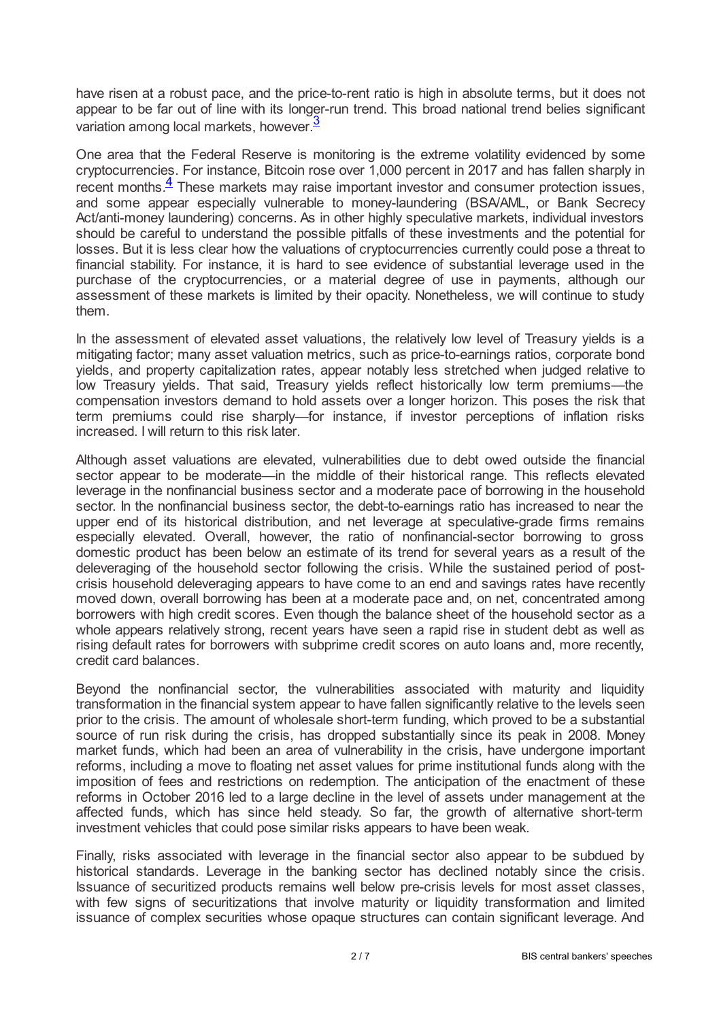have risen at a robust pace, and the price-to-rent ratio is high in absolute terms, but it does not appear to be far out of line with its longer-run trend. This broad national trend belies significant variation among local markets, however.<sup>[3](#page-5-2)</sup>

<span id="page-1-1"></span><span id="page-1-0"></span>One area that the Federal Reserve is monitoring is the extreme volatility evidenced by some cryptocurrencies. For instance, Bitcoin rose over 1,000 percent in 2017 and has fallen sharply in recent months. $\frac{4}{5}$  $\frac{4}{5}$  $\frac{4}{5}$  These markets may raise important investor and consumer protection issues, and some appear especially vulnerable to money-laundering (BSA/AML, or Bank Secrecy Act/anti-money laundering) concerns. As in other highly speculative markets, individual investors should be careful to understand the possible pitfalls of these investments and the potential for losses. But it is less clear how the valuations of cryptocurrencies currently could pose a threat to financial stability. For instance, it is hard to see evidence of substantial leverage used in the purchase of the cryptocurrencies, or a material degree of use in payments, although our assessment of these markets is limited by their opacity. Nonetheless, we will continue to study them.

In the assessment of elevated asset valuations, the relatively low level of Treasury yields is a mitigating factor; many asset valuation metrics, such as price-to-earnings ratios, corporate bond yields, and property capitalization rates, appear notably less stretched when judged relative to low Treasury yields. That said, Treasury yields reflect historically low term premiums—the compensation investors demand to hold assets over a longer horizon. This poses the risk that term premiums could rise sharply—for instance, if investor perceptions of inflation risks increased. I will return to this risk later.

Although asset valuations are elevated, vulnerabilities due to debt owed outside the financial sector appear to be moderate—in the middle of their historical range. This reflects elevated leverage in the nonfinancial business sector and a moderate pace of borrowing in the household sector. In the nonfinancial business sector, the debt-to-earnings ratio has increased to near the upper end of its historical distribution, and net leverage at speculative-grade firms remains especially elevated. Overall, however, the ratio of nonfinancial-sector borrowing to gross domestic product has been below an estimate of its trend for several years as a result of the deleveraging of the household sector following the crisis. While the sustained period of postcrisis household deleveraging appears to have come to an end and savings rates have recently moved down, overall borrowing has been at a moderate pace and, on net, concentrated among borrowers with high credit scores. Even though the balance sheet of the household sector as a whole appears relatively strong, recent years have seen a rapid rise in student debt as well as rising default rates for borrowers with subprime credit scores on auto loans and, more recently, credit card balances.

Beyond the nonfinancial sector, the vulnerabilities associated with maturity and liquidity transformation in the financial system appear to have fallen significantly relative to the levels seen prior to the crisis. The amount of wholesale short-term funding, which proved to be a substantial source of run risk during the crisis, has dropped substantially since its peak in 2008. Money market funds, which had been an area of vulnerability in the crisis, have undergone important reforms, including a move to floating net asset values for prime institutional funds along with the imposition of fees and restrictions on redemption. The anticipation of the enactment of these reforms in October 2016 led to a large decline in the level of assets under management at the affected funds, which has since held steady. So far, the growth of alternative short-term investment vehicles that could pose similar risks appears to have been weak.

Finally, risks associated with leverage in the financial sector also appear to be subdued by historical standards. Leverage in the banking sector has declined notably since the crisis. Issuance of securitized products remains well below pre-crisis levels for most asset classes, with few signs of securitizations that involve maturity or liquidity transformation and limited issuance of complex securities whose opaque structures can contain significant leverage. And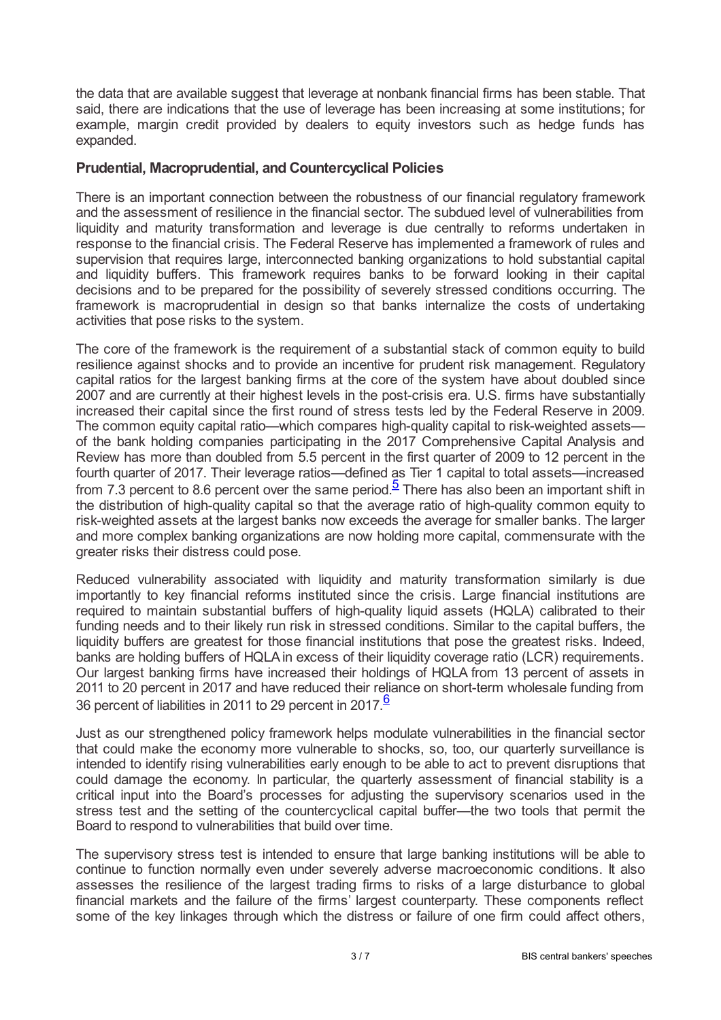the data that are available suggest that leverage at nonbank financial firms has been stable. That said, there are indications that the use of leverage has been increasing at some institutions; for example, margin credit provided by dealers to equity investors such as hedge funds has expanded.

### **Prudential, Macroprudential, and Countercyclical Policies**

There is an important connection between the robustness of our financial regulatory framework and the assessment of resilience in the financial sector. The subdued level of vulnerabilities from liquidity and maturity transformation and leverage is due centrally to reforms undertaken in response to the financial crisis. The Federal Reserve has implemented a framework of rules and supervision that requires large, interconnected banking organizations to hold substantial capital and liquidity buffers. This framework requires banks to be forward looking in their capital decisions and to be prepared for the possibility of severely stressed conditions occurring. The framework is macroprudential in design so that banks internalize the costs of undertaking activities that pose risks to the system.

The core of the framework is the requirement of a substantial stack of common equity to build resilience against shocks and to provide an incentive for prudent risk management. Regulatory capital ratios for the largest banking firms at the core of the system have about doubled since 2007 and are currently at their highest levels in the post-crisis era. U.S. firms have substantially increased their capital since the first round of stress tests led by the Federal Reserve in 2009. The common equity capital ratio—which compares high-quality capital to risk-weighted assets of the bank holding companies participating in the 2017 Comprehensive Capital Analysis and Review has more than doubled from 5.5 percent in the first quarter of 2009 to 12 percent in the fourth quarter of 2017. Their leverage ratios—defined as Tier 1 capital to total assets—increased from 7.3 percent to 8.6 percent over the same period.<sup>[5](#page-5-4)</sup> There has also been an important shift in the distribution of high-quality capital so that the average ratio of high-quality common equity to risk-weighted assets at the largest banks now exceeds the average for smaller banks. The larger and more complex banking organizations are now holding more capital, commensurate with the greater risks their distress could pose.

<span id="page-2-0"></span>Reduced vulnerability associated with liquidity and maturity transformation similarly is due importantly to key financial reforms instituted since the crisis. Large financial institutions are required to maintain substantial buffers of high-quality liquid assets (HQLA) calibrated to their funding needs and to their likely run risk in stressed conditions. Similar to the capital buffers, the liquidity buffers are greatest for those financial institutions that pose the greatest risks. Indeed, banks are holding buffers of HQLA in excess of their liquidity coverage ratio (LCR) requirements. Our largest banking firms have increased their holdings of HQLA from 13 percent of assets in 2011 to 20 percent in 2017 and have reduced their reliance on short-term wholesale funding from 3[6](#page-5-5) percent of liabilities in 2011 to 29 percent in 2017  $6$ 

<span id="page-2-1"></span>Just as our strengthened policy framework helps modulate vulnerabilities in the financial sector that could make the economy more vulnerable to shocks, so, too, our quarterly surveillance is intended to identify rising vulnerabilities early enough to be able to act to prevent disruptions that could damage the economy. In particular, the quarterly assessment of financial stability is a critical input into the Board's processes for adjusting the supervisory scenarios used in the stress test and the setting of the countercyclical capital buffer—the two tools that permit the Board to respond to vulnerabilities that build over time.

The supervisory stress test is intended to ensure that large banking institutions will be able to continue to function normally even under severely adverse macroeconomic conditions. It also assesses the resilience of the largest trading firms to risks of a large disturbance to global financial markets and the failure of the firms' largest counterparty. These components reflect some of the key linkages through which the distress or failure of one firm could affect others,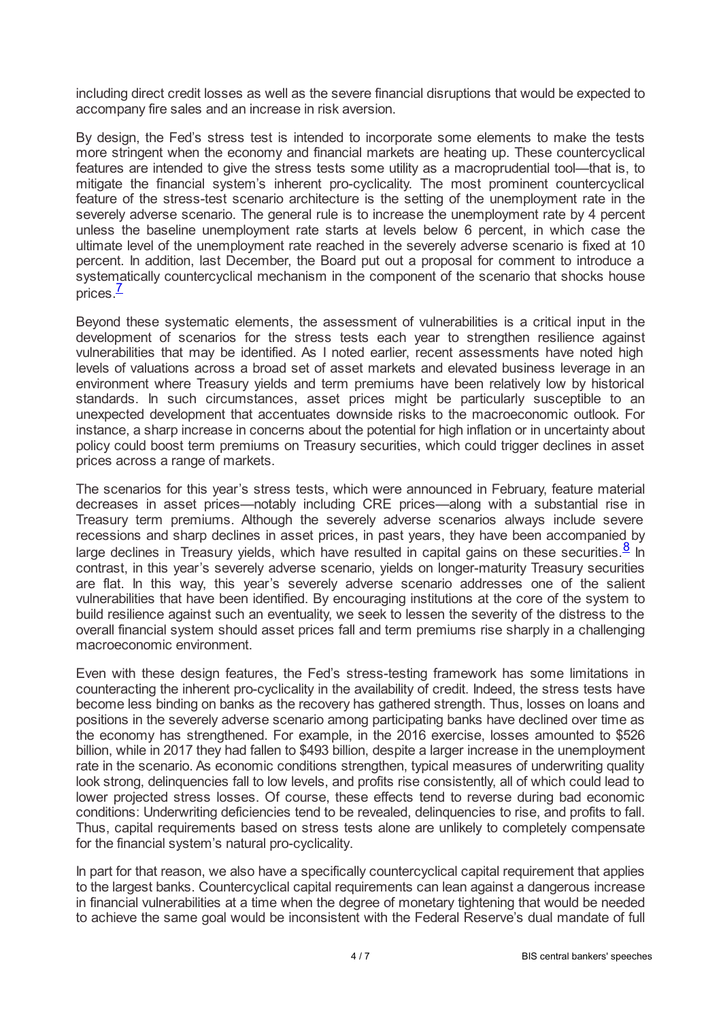including direct credit losses as well as the severe financial disruptions that would be expected to accompany fire sales and an increase in risk aversion.

By design, the Fed's stress test is intended to incorporate some elements to make the tests more stringent when the economy and financial markets are heating up. These countercyclical features are intended to give the stress tests some utility as a macroprudential tool—that is, to mitigate the financial system's inherent pro-cyclicality. The most prominent countercyclical feature of the stress-test scenario architecture is the setting of the unemployment rate in the severely adverse scenario. The general rule is to increase the unemployment rate by 4 percent unless the baseline unemployment rate starts at levels below 6 percent, in which case the ultimate level of the unemployment rate reached in the severely adverse scenario is fixed at 10 percent. In addition, last December, the Board put out a proposal for comment to introduce a systematically countercyclical mechanism in the component of the scenario that shocks house prices.<sup>[7](#page-5-6)</sup>

<span id="page-3-0"></span>Beyond these systematic elements, the assessment of vulnerabilities is a critical input in the development of scenarios for the stress tests each year to strengthen resilience against vulnerabilities that may be identified. As I noted earlier, recent assessments have noted high levels of valuations across a broad set of asset markets and elevated business leverage in an environment where Treasury yields and term premiums have been relatively low by historical standards. In such circumstances, asset prices might be particularly susceptible to an unexpected development that accentuates downside risks to the macroeconomic outlook. For instance, a sharp increase in concerns about the potential for high inflation or in uncertainty about policy could boost term premiums on Treasury securities, which could trigger declines in asset prices across a range of markets.

<span id="page-3-1"></span>The scenarios for this year's stress tests, which were announced in February, feature material decreases in asset prices—notably including CRE prices—along with a substantial rise in Treasury term premiums. Although the severely adverse scenarios always include severe recessions and sharp declines in asset prices, in past years, they have been accompanied by large declines in Treasury yields, which have resulted in capital gains on these securities.  $\frac{8}{10}$  $\frac{8}{10}$  $\frac{8}{10}$  in contrast, in this year's severely adverse scenario, yields on longer-maturity Treasury securities are flat. In this way, this year's severely adverse scenario addresses one of the salient vulnerabilities that have been identified. By encouraging institutions at the core of the system to build resilience against such an eventuality, we seek to lessen the severity of the distress to the overall financial system should asset prices fall and term premiums rise sharply in a challenging macroeconomic environment.

Even with these design features, the Fed's stress-testing framework has some limitations in counteracting the inherent pro-cyclicality in the availability of credit. Indeed, the stress tests have become less binding on banks as the recovery has gathered strength. Thus, losses on loans and positions in the severely adverse scenario among participating banks have declined over time as the economy has strengthened. For example, in the 2016 exercise, losses amounted to \$526 billion, while in 2017 they had fallen to \$493 billion, despite a larger increase in the unemployment rate in the scenario. As economic conditions strengthen, typical measures of underwriting quality look strong, delinquencies fall to low levels, and profits rise consistently, all of which could lead to lower projected stress losses. Of course, these effects tend to reverse during bad economic conditions: Underwriting deficiencies tend to be revealed, delinquencies to rise, and profits to fall. Thus, capital requirements based on stress tests alone are unlikely to completely compensate for the financial system's natural pro-cyclicality.

In part for that reason, we also have a specifically countercyclical capital requirement that applies to the largest banks. Countercyclical capital requirements can lean against a dangerous increase in financial vulnerabilities at a time when the degree of monetary tightening that would be needed to achieve the same goal would be inconsistent with the Federal Reserve's dual mandate of full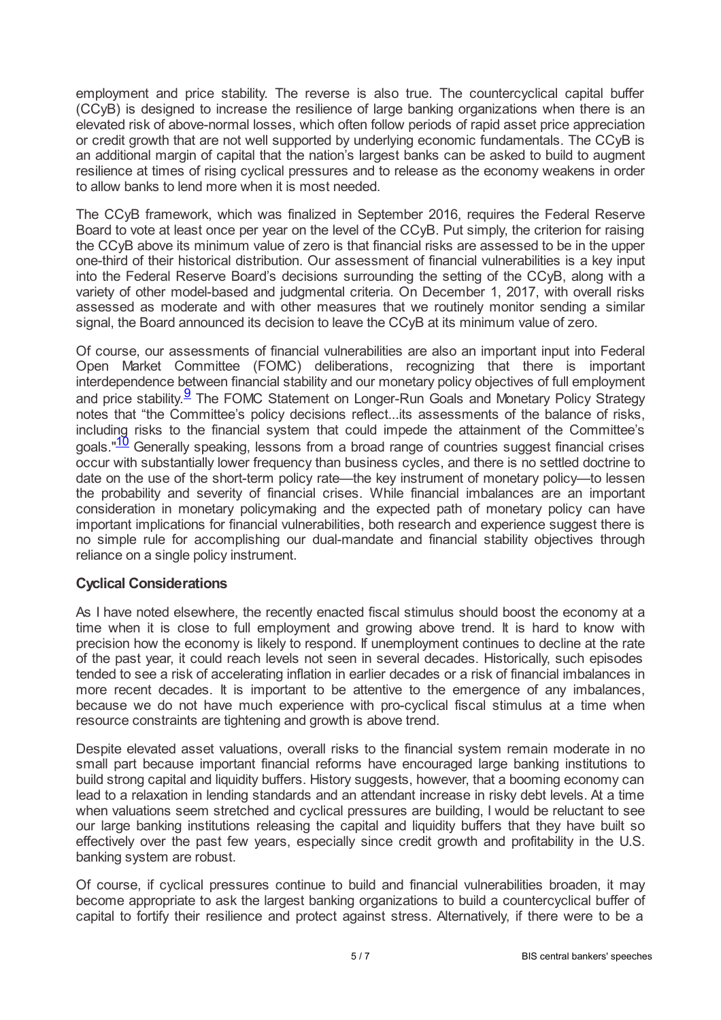employment and price stability. The reverse is also true. The countercyclical capital buffer (CCyB) is designed to increase the resilience of large banking organizations when there is an elevated risk of above-normal losses, which often follow periods of rapid asset price appreciation or credit growth that are not well supported by underlying economic fundamentals. The CCyB is an additional margin of capital that the nation's largest banks can be asked to build to augment resilience at times of rising cyclical pressures and to release as the economy weakens in order to allow banks to lend more when it is most needed.

The CCyB framework, which was finalized in September 2016, requires the Federal Reserve Board to vote at least once per year on the level of the CCyB. Put simply, the criterion for raising the CCyB above its minimum value of zero is that financial risks are assessed to be in the upper one-third of their historical distribution. Our assessment of financial vulnerabilities is a key input into the Federal Reserve Board's decisions surrounding the setting of the CCyB, along with a variety of other model-based and judgmental criteria. On December 1, 2017, with overall risks assessed as moderate and with other measures that we routinely monitor sending a similar signal, the Board announced its decision to leave the CCyB at its minimum value of zero.

<span id="page-4-1"></span><span id="page-4-0"></span>Of course, our assessments of financial vulnerabilities are also an important input into Federal Open Market Committee (FOMC) deliberations, recognizing that there is important interdependence between financial stability and our monetary policy objectives of full employment and price stability.<sup>[9](#page-6-0)</sup> The FOMC Statement on Longer-Run Goals and Monetary Policy Strategy notes that "the Committee's policy decisions reflect...its assessments of the balance of risks, including risks to the financial system that could impede the attainment of the Committee's goals."<sup>[10](#page-6-1)</sup> Generally speaking, lessons from a broad range of countries suggest financial crises occur with substantially lower frequency than business cycles, and there is no settled doctrine to date on the use of the short-term policy rate—the key instrument of monetary policy—to lessen the probability and severity of financial crises. While financial imbalances are an important consideration in monetary policymaking and the expected path of monetary policy can have important implications for financial vulnerabilities, both research and experience suggest there is no simple rule for accomplishing our dual-mandate and financial stability objectives through reliance on a single policy instrument.

## **Cyclical Considerations**

As I have noted elsewhere, the recently enacted fiscal stimulus should boost the economy at a time when it is close to full employment and growing above trend. It is hard to know with precision how the economy is likely to respond. If unemployment continues to decline at the rate of the past year, it could reach levels not seen in several decades. Historically, such episodes tended to see a risk of accelerating inflation in earlier decades or a risk of financial imbalances in more recent decades. It is important to be attentive to the emergence of any imbalances, because we do not have much experience with pro-cyclical fiscal stimulus at a time when resource constraints are tightening and growth is above trend.

Despite elevated asset valuations, overall risks to the financial system remain moderate in no small part because important financial reforms have encouraged large banking institutions to build strong capital and liquidity buffers. History suggests, however, that a booming economy can lead to a relaxation in lending standards and an attendant increase in risky debt levels. At a time when valuations seem stretched and cyclical pressures are building, I would be reluctant to see our large banking institutions releasing the capital and liquidity buffers that they have built so effectively over the past few years, especially since credit growth and profitability in the U.S. banking system are robust.

Of course, if cyclical pressures continue to build and financial vulnerabilities broaden, it may become appropriate to ask the largest banking organizations to build a countercyclical buffer of capital to fortify their resilience and protect against stress. Alternatively, if there were to be a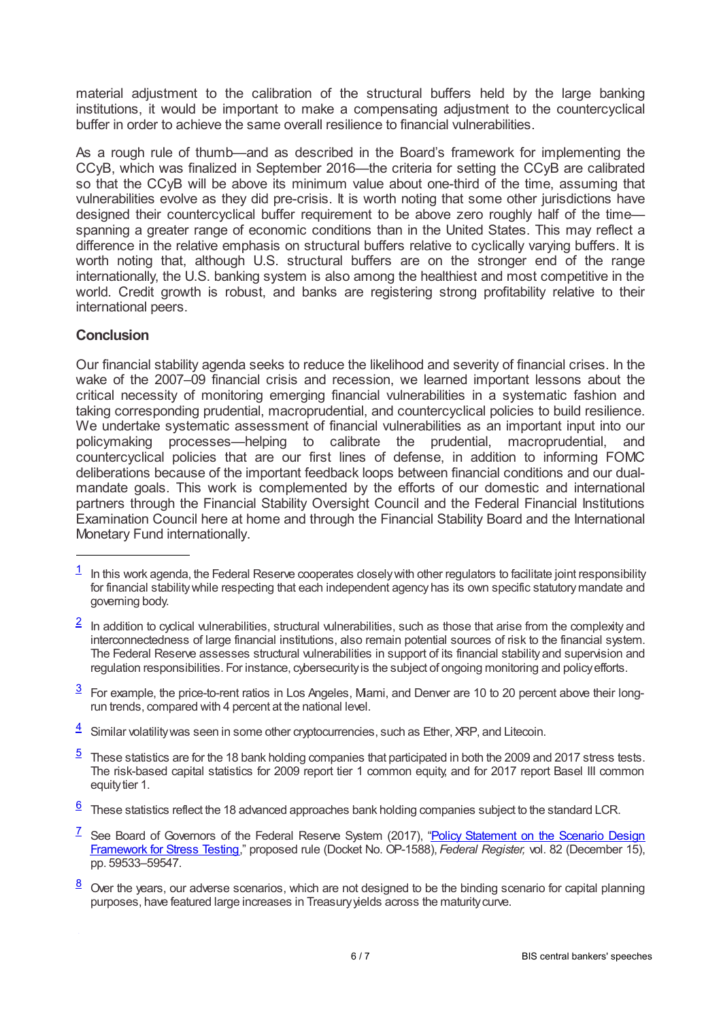material adjustment to the calibration of the structural buffers held by the large banking institutions, it would be important to make a compensating adjustment to the countercyclical buffer in order to achieve the same overall resilience to financial vulnerabilities.

As a rough rule of thumb—and as described in the Board's framework for implementing the CCyB, which was finalized in September 2016—the criteria for setting the CCyB are calibrated so that the CCyB will be above its minimum value about one-third of the time, assuming that vulnerabilities evolve as they did pre-crisis. It is worth noting that some other jurisdictions have designed their countercyclical buffer requirement to be above zero roughly half of the time spanning a greater range of economic conditions than in the United States. This may reflect a difference in the relative emphasis on structural buffers relative to cyclically varying buffers. It is worth noting that, although U.S. structural buffers are on the stronger end of the range internationally, the U.S. banking system is also among the healthiest and most competitive in the world. Credit growth is robust, and banks are registering strong profitability relative to their international peers.

### **Conclusion**

Our financial stability agenda seeks to reduce the likelihood and severity of financial crises. In the wake of the 2007–09 financial crisis and recession, we learned important lessons about the critical necessity of monitoring emerging financial vulnerabilities in a systematic fashion and taking corresponding prudential, macroprudential, and countercyclical policies to build resilience. We undertake systematic assessment of financial vulnerabilities as an important input into our policymaking processes—helping to calibrate the prudential, macroprudential, and countercyclical policies that are our first lines of defense, in addition to informing FOMC deliberations because of the important feedback loops between financial conditions and our dualmandate goals. This work is complemented by the efforts of our domestic and international partners through the Financial Stability Oversight Council and the Federal Financial Institutions Examination Council here at home and through the Financial Stability Board and the International Monetary Fund internationally.

- <span id="page-5-1"></span>In addition to cyclical vulnerabilities, structural vulnerabilities, such as those that arise from the complexity and interconnectedness of large financial institutions, also remain potential sources of risk to the financial system. The Federal Reserve assesses structural vulnerabilities in support of its financial stability and supervision and regulation responsibilities. For instance, cybersecurityis the subject of ongoing monitoring and policyefforts. [2](#page-0-1)
- <span id="page-5-2"></span> $\frac{3}{2}$  $\frac{3}{2}$  $\frac{3}{2}$  For example, the price-to-rent ratios in Los Angeles, Mami, and Denver are 10 to 20 percent above their longrun trends, compared with 4 percent at the national level.
- <span id="page-5-3"></span>Similar volatilitywas seen in some other cryptocurrencies, such as Ether, XRP, and Litecoin. [4](#page-1-1)
- <span id="page-5-4"></span>These statistics are for the 18 bank holding companies that participated in both the 2009 and 2017 stress tests. The risk-based capital statistics for 2009 report tier 1 common equity, and for 2017 report Basel III common equity tier 1. [5](#page-2-0)
- <span id="page-5-5"></span> $6$  These statistics reflect the 18 advanced approaches bank holding companies subject to the standard LCR.
- <span id="page-5-6"></span><sup>[7](#page-3-0)</sup> See Board of Governors of the Federal Reserve System (2017), "Policy Statement on the Scenario Design Framework for Stress Testing," proposed rule (Docket No. OP-1588), *Federal Register,* vol. 82 [\(December](www.federalregister.gov/documents/2017/12/15/2017?26858/policy-statement-on-the-scenario-design-framework-for-stress-testing) 15), pp. 59533–59547.
- <span id="page-5-7"></span> $\frac{8}{2}$  $\frac{8}{2}$  $\frac{8}{2}$  Over the years, our adverse scenarios, which are not designed to be the binding scenario for capital planning purposes, have featured large increases in Treasuryyields across the maturitycurve.

<span id="page-5-0"></span>In this work agenda, the Federal Reserve cooperates closelywith other regulators to facilitate joint responsibility for financial stabilitywhile respecting that each independent agencyhas its own specific statutorymandate and governing body. [1](#page-0-0)